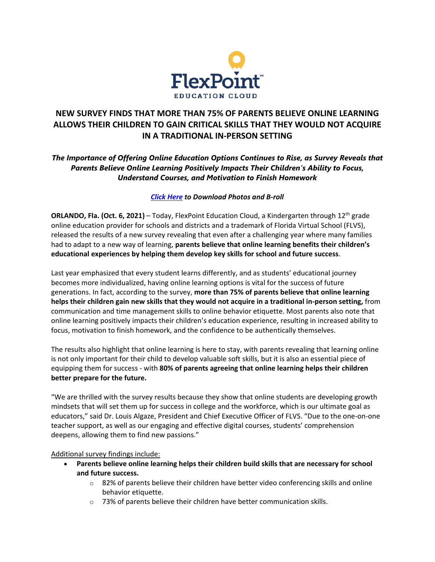

# **NEW SURVEY FINDS THAT MORE THAN 75% OF PARENTS BELIEVE ONLINE LEARNING ALLOWS THEIR CHILDREN TO GAIN CRITICAL SKILLS THAT THEY WOULD NOT ACQUIRE IN A TRADITIONAL IN-PERSON SETTING**

## *The Importance of Offering Online Education Options Continues to Rise, as Survey Reveals that Parents Believe Online Learning Positively Impacts Their Children's Ability to Focus, Understand Courses, and Motivation to Finish Homework*

### *[Click Here](https://drive.google.com/drive/folders/1HRcrHCzU9nfHCQtoY-Qp3r9EWWSPg9Wc?usp=sharing) to Download Photos and B-roll*

**ORLANDO, Fla. (Oct. 6, 2021)** – Today, FlexPoint Education Cloud, a Kindergarten through 12<sup>th</sup> grade online education provider for schools and districts and a trademark of Florida Virtual School (FLVS), released the results of a new survey revealing that even after a challenging year where many families had to adapt to a new way of learning, **parents believe that online learning benefits their children's educational experiences by helping them develop key skills for school and future success**.

Last year emphasized that every student learns differently, and as students' educational journey becomes more individualized, having online learning options is vital for the success of future generations. In fact, according to the survey, **more than 75% of parents believe that online learning helps their children gain new skills that they would not acquire in a traditional in-person setting,** from communication and time management skills to online behavior etiquette. Most parents also note that online learning positively impacts their children's education experience, resulting in increased ability to focus, motivation to finish homework, and the confidence to be authentically themselves.

The results also highlight that online learning is here to stay, with parents revealing that learning online is not only important for their child to develop valuable soft skills, but it is also an essential piece of equipping them for success - with **80% of parents agreeing that online learning helps their children better prepare for the future.**

"We are thrilled with the survey results because they show that online students are developing growth mindsets that will set them up for success in college and the workforce, which is our ultimate goal as educators," said Dr. Louis Algaze, President and Chief Executive Officer of FLVS. "Due to the one-on-one teacher support, as well as our engaging and effective digital courses, students' comprehension deepens, allowing them to find new passions."

#### Additional survey findings include:

- **Parents believe online learning helps their children build skills that are necessary for school and future success.**
	- $\circ$  82% of parents believe their children have better video conferencing skills and online behavior etiquette.
	- $\circ$  73% of parents believe their children have better communication skills.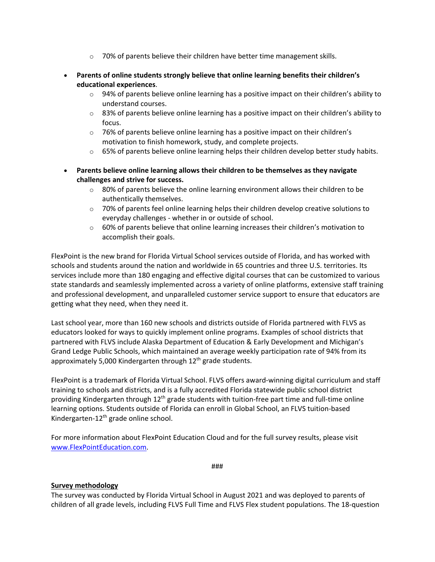- $\circ$  70% of parents believe their children have better time management skills.
- **Parents of online students strongly believe that online learning benefits their children's educational experiences**.
	- $\circ$  94% of parents believe online learning has a positive impact on their children's ability to understand courses.
	- $\circ$  83% of parents believe online learning has a positive impact on their children's ability to focus.
	- o 76% of parents believe online learning has a positive impact on their children's motivation to finish homework, study, and complete projects.
	- $\circ$  65% of parents believe online learning helps their children develop better study habits.
- **Parents believe online learning allows their children to be themselves as they navigate challenges and strive for success.**
	- $\circ$  80% of parents believe the online learning environment allows their children to be authentically themselves.
	- $\circ$  70% of parents feel online learning helps their children develop creative solutions to everyday challenges - whether in or outside of school.
	- $\circ$  60% of parents believe that online learning increases their children's motivation to accomplish their goals.

FlexPoint is the new brand for Florida Virtual School services outside of Florida, and has worked with schools and students around the nation and worldwide in 65 countries and three U.S. territories. Its services include more than 180 engaging and effective digital courses that can be customized to various state standards and seamlessly implemented across a variety of online platforms, extensive staff training and professional development, and unparalleled customer service support to ensure that educators are getting what they need, when they need it.

Last school year, more than 160 new schools and districts outside of Florida partnered with FLVS as educators looked for ways to quickly implement online programs. Examples of school districts that partnered with FLVS include Alaska Department of Education & Early Development and Michigan's Grand Ledge Public Schools, which maintained an average weekly participation rate of 94% from its approximately 5,000 Kindergarten through  $12<sup>th</sup>$  grade students.

FlexPoint is a trademark of Florida Virtual School. FLVS offers award-winning digital curriculum and staff training to schools and districts, and is a fully accredited Florida statewide public school district providing Kindergarten through 12<sup>th</sup> grade students with tuition-free part time and full-time online learning options. Students outside of Florida can enroll in Global School, an FLVS tuition-based Kindergarten-12<sup>th</sup> grade online school.

For more information about FlexPoint Education Cloud and for the full survey results, please visit [www.FlexPointEducation.com.](http://www.flexpointeducation.com/)

###

#### **Survey methodology**

The survey was conducted by Florida Virtual School in August 2021 and was deployed to parents of children of all grade levels, including FLVS Full Time and FLVS Flex student populations. The 18-question